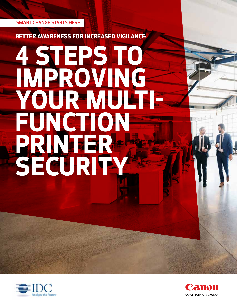SMART CHANGE STARTS HERE.

**BETTER AWARENESS FOR INCREASED VIGILANCE:**

# **4 STEPS TO IMPROVING YOUR MULTI-FUNCTION PRINTER SECURITY**



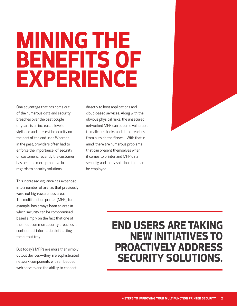## **MINING THE BENEFITS OF EXPERIENCE**

One advantage that has come out of the numerous data and security breaches over the past couple of years is an increased level of vigilance and interest in security on the part of the end user. Whereas in the past, providers often had to enforce the importance of security on customers, recently the customer has become more proactive in regards to security solutions.

This increased vigilance has expanded into a number of arenas that previously were not high-awareness areas. The multifunction printer (MFP), for example, has always been an area in which security can be compromised, based simply on the fact that one of the most common security breaches is confidential information left sitting in the output tray.

But today's MFPs are more than simply output devices—they are sophisticated network components with embedded web servers and the ability to connect

directly to host applications and cloud-based services. Along with the obvious physical risks, the unsecured networked MFP can become vulnerable to malicious hacks and data breaches from outside the firewall. With that in mind, there are numerous problems that can present themselves when it comes to printer and MFP data security, and many solutions that can be employed.



### **END USERS ARE TAKING NEW INITIATIVES TO PROACTIVELY ADDRESS SECURITY SOLUTIONS.**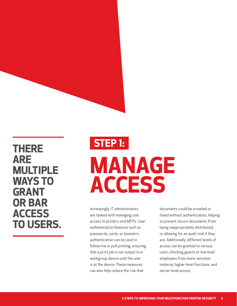#### **THERE ARE MULTIPLE WAYS TO GRANT OR BAR ACCESS TO USERS.**

### **MANAGE ACCESS STEP 1:**

Increasingly, IT administrators are tasked with managing user access to printers and MFPs. User authentication features such as passwords, cards, or biometric authentication can be used in follow-me or pull printing, ensuring that a print job is not output to a workgroup device until the user is at the device. These measures can also help reduce the risk that

documents could be e-mailed or faxed without authentication, helping to prevent secure documents from being inappropriately distributed, or allowing for an audit trail if they are. Additionally, different levels of access can be granted to various users, blocking guests or low-level employees from more sensitive material, higher-level functions, and server-level access.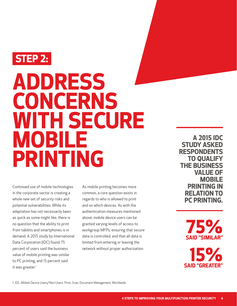

### **ADDRESS CONCERNS WITH SECURE MOBILE PRINTING**

Continued use of mobile technologies in the corporate sector is creating a whole new set of security risks and potential vulnerabilities. While its adaptation has not necessarily been as quick as some might like, there is no question that the ability to print from tablets and smartphones is in demand. A 2015 study by International Data Corporation (IDC) found 75 percent of users said the business value of mobile printing was similar to PC printing, and 15 percent said it was greater.<sup>1</sup>

As mobile printing becomes more common, a core question exists in regards to who is allowed to print and on which devices. As with the authentication measures mentioned above, mobile device users can be granted varying levels of access to workgroup MFPs, ensuring that secure data is controlled, and that all data is limited from entering or leaving the network without proper authorization.

**A 2015 IDC STUDY ASKED RESPONDENTS TO QUALIFY THE BUSINESS VALUE OF MOBILE PRINTING IN RELATION TO PC PRINTING.**

> **SAID "SIMILAR" 75%**

**SAID "GREATER" 15%**

1. IDC, Mobile Device Users/Non-Users: Print, Scan, Document Management, Worldwide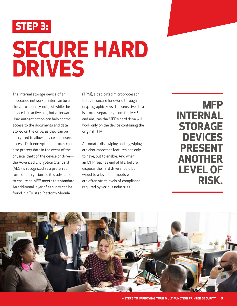

## **SECURE HARD DRIVES**

The internal storage device of an unsecured network printer can be a threat to security, not just while the device is in active use, but afterwards. User authentication can help control access to the documents and data stored on the drive, as they can be encrypted to allow only certain users access. Disk encryption features can also protect data in the event of the physical theft of the device or drive the Advanced Encryption Standard (AES) is recognized as a preferred form of encryption, so it is advisable to ensure an MFP meets this standard. An additional layer of security can be found in a Trusted Platform Module

(TPM), a dedicated microprocessor that can secure hardware through cryptographic keys. The sensitive data is stored separately from the MFP and ensures the MFP's hard drive will work only on the device containing the original TPM.

Automatic disk wiping and log wiping are also important features not-only to have, but to enable. And when an MFP reaches end of life, before disposal the hard drive should be wiped to a level that meets what are often strict levels of compliance required by various industries.

**MFP INTERNAL STORAGE DEVICES PRESENT ANOTHER LEVEL OF RISK.**

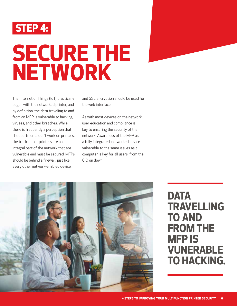

## **SECURE THE NETWORK**

The Internet of Things (IoT) practically began with the networked printer, and by definition, the data traveling to and from an MFP is vulnerable to hacking, viruses, and other breaches. While there is frequently a perception that IT departments don't work on printers, the truth is that printers are an integral part of the network that are vulnerable and must be secured. MFPs should be behind a firewall, just like every other network-enabled device,

and SSL encryption should be used for the web interface.

As with most devices on the network, user education and compliance is key to ensuring the security of the network. Awareness of the MFP as a fully integrated, networked device vulnerable to the same issues as a computer is key for all users, from the CIO on down.



### **DATA TRAVELLING TO AND FROM THE MFP IS VUNERABLE TO HACKING.**